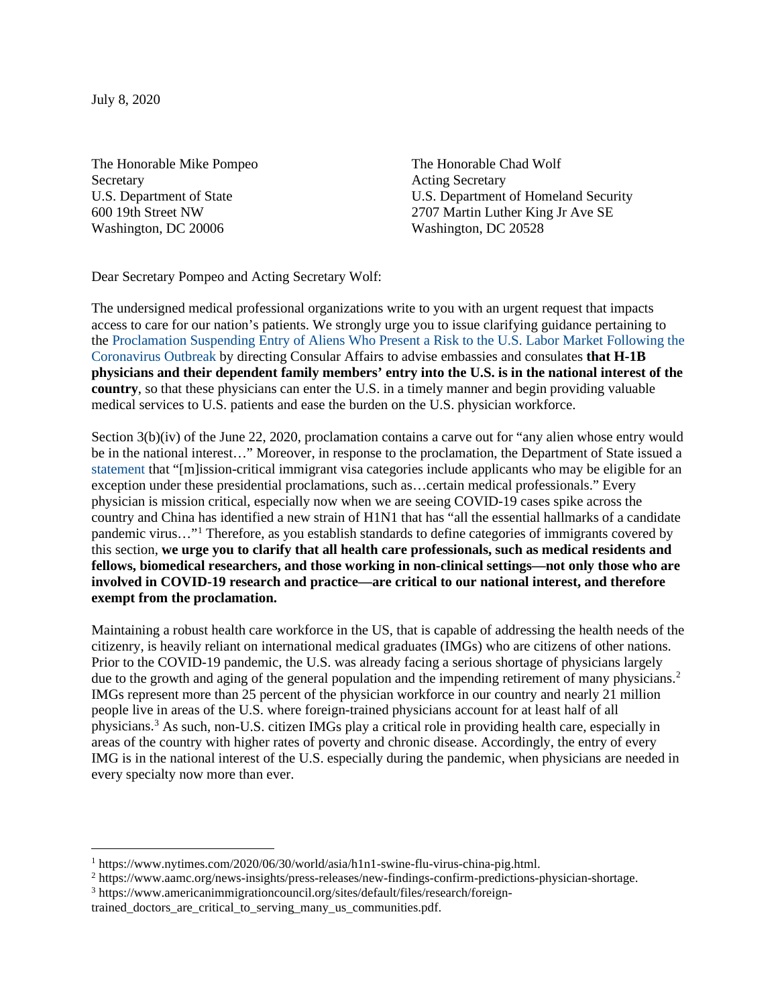July 8, 2020

The Honorable Mike Pompeo Secretary U.S. Department of State 600 19th Street NW Washington, DC 20006

The Honorable Chad Wolf Acting Secretary U.S. Department of Homeland Security 2707 Martin Luther King Jr Ave SE Washington, DC 20528

Dear Secretary Pompeo and Acting Secretary Wolf:

The undersigned medical professional organizations write to you with an urgent request that impacts access to care for our nation's patients. We strongly urge you to issue clarifying guidance pertaining to the [Proclamation Suspending Entry of Aliens Who Present a Risk to the U.S. Labor Market Following the](https://www.whitehouse.gov/presidential-actions/proclamation-suspending-entry-aliens-present-risk-u-s-labor-market-following-coronavirus-outbreak/)  [Coronavirus Outbreak](https://www.whitehouse.gov/presidential-actions/proclamation-suspending-entry-aliens-present-risk-u-s-labor-market-following-coronavirus-outbreak/) by directing Consular Affairs to advise embassies and consulates **that H-1B physicians and their dependent family members' entry into the U.S. is in the national interest of the country**, so that these physicians can enter the U.S. in a timely manner and begin providing valuable medical services to U.S. patients and ease the burden on the U.S. physician workforce.

Section 3(b)(iv) of the June 22, 2020, proclamation contains a carve out for "any alien whose entry would be in the national interest…" Moreover, in response to the proclamation, the Department of State issued a [statement](https://travel.state.gov/content/travel/en/News/visas-news/proclamation-suspending-entry-of-immigrants-and-nonimmigrants-who-present-risk-to-the-US-labor-market-during-the-economic-recovery-following-the-COVID-19-outbreak.html) that "[m]ission-critical immigrant visa categories include applicants who may be eligible for an exception under these presidential proclamations, such as…certain medical professionals." Every physician is mission critical, especially now when we are seeing COVID-19 cases spike across the country and China has identified a new strain of H1N1 that has "all the essential hallmarks of a candidate pandemic virus…"[1](#page-0-0) Therefore, as you establish standards to define categories of immigrants covered by this section, **we urge you to clarify that all health care professionals, such as medical residents and fellows, biomedical researchers, and those working in non-clinical settings—not only those who are involved in COVID-19 research and practice—are critical to our national interest, and therefore exempt from the proclamation.**

Maintaining a robust health care workforce in the US, that is capable of addressing the health needs of the citizenry, is heavily reliant on international medical graduates (IMGs) who are citizens of other nations. Prior to the COVID-19 pandemic, the U.S. was already facing a serious shortage of physicians largely due to the growth and aging of the general population and the impending retirement of many physicians.<sup>[2](#page-0-1)</sup> IMGs represent more than 25 percent of the physician workforce in our country and nearly 21 million people live in areas of the U.S. where foreign-trained physicians account for at least half of all physicians.[3](#page-0-2) As such, non-U.S. citizen IMGs play a critical role in providing health care, especially in areas of the country with higher rates of poverty and chronic disease. Accordingly, the entry of every IMG is in the national interest of the U.S. especially during the pandemic, when physicians are needed in every specialty now more than ever.

<span id="page-0-0"></span><sup>1</sup> [https://www.nytimes.com/2020/06/30/world/asia/h1n1-swine-flu-virus-china-pig.html.](https://www.nytimes.com/2020/06/30/world/asia/h1n1-swine-flu-virus-china-pig.html)

<span id="page-0-1"></span><sup>2</sup> [https://www.aamc.org/news-insights/press-releases/new-findings-confirm-predictions-physician-shortage.](https://www.aamc.org/news-insights/press-releases/new-findings-confirm-predictions-physician-shortage)

<span id="page-0-2"></span><sup>3</sup> [https://www.americanimmigrationcouncil.org/sites/default/files/research/foreign-](https://www.americanimmigrationcouncil.org/sites/default/files/research/foreign-trained_doctors_are_critical_to_serving_many_us_communities.pdf)

[trained\\_doctors\\_are\\_critical\\_to\\_serving\\_many\\_us\\_communities.pdf.](https://www.americanimmigrationcouncil.org/sites/default/files/research/foreign-trained_doctors_are_critical_to_serving_many_us_communities.pdf)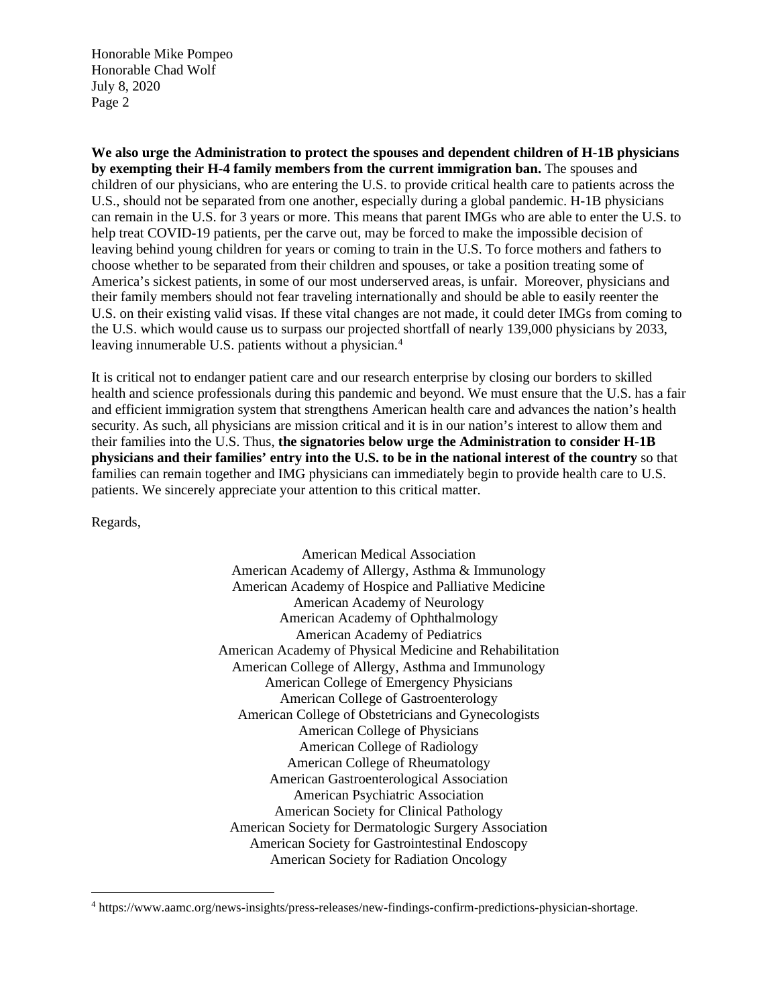Honorable Mike Pompeo Honorable Chad Wolf July 8, 2020 Page 2

**We also urge the Administration to protect the spouses and dependent children of H-1B physicians by exempting their H-4 family members from the current immigration ban.** The spouses and children of our physicians, who are entering the U.S. to provide critical health care to patients across the U.S., should not be separated from one another, especially during a global pandemic. H-1B physicians can remain in the U.S. for 3 years or more. This means that parent IMGs who are able to enter the U.S. to help treat COVID-19 patients, per the carve out, may be forced to make the impossible decision of leaving behind young children for years or coming to train in the U.S. To force mothers and fathers to choose whether to be separated from their children and spouses, or take a position treating some of America's sickest patients, in some of our most underserved areas, is unfair. Moreover, physicians and their family members should not fear traveling internationally and should be able to easily reenter the U.S. on their existing valid visas. If these vital changes are not made, it could deter IMGs from coming to the U.S. which would cause us to surpass our projected shortfall of nearly 139,000 physicians by 2033, leaving innumerable U.S. patients without a physician.<sup>[4](#page-1-0)</sup>

It is critical not to endanger patient care and our research enterprise by closing our borders to skilled health and science professionals during this pandemic and beyond. We must ensure that the U.S. has a fair and efficient immigration system that strengthens American health care and advances the nation's health security. As such, all physicians are mission critical and it is in our nation's interest to allow them and their families into the U.S. Thus, **the signatories below urge the Administration to consider H-1B physicians and their families' entry into the U.S. to be in the national interest of the country** so that families can remain together and IMG physicians can immediately begin to provide health care to U.S. patients. We sincerely appreciate your attention to this critical matter.

Regards,

American Medical Association American Academy of Allergy, Asthma & Immunology American Academy of Hospice and Palliative Medicine American Academy of Neurology American Academy of Ophthalmology American Academy of Pediatrics American Academy of Physical Medicine and Rehabilitation American College of Allergy, Asthma and Immunology American College of Emergency Physicians American College of Gastroenterology American College of Obstetricians and Gynecologists American College of Physicians American College of Radiology American College of Rheumatology American Gastroenterological Association American Psychiatric Association American Society for Clinical Pathology American Society for Dermatologic Surgery Association American Society for Gastrointestinal Endoscopy American Society for Radiation Oncology

<span id="page-1-0"></span><sup>4</sup> [https://www.aamc.org/news-insights/press-releases/new-findings-confirm-predictions-physician-shortage.](https://www.aamc.org/news-insights/press-releases/new-findings-confirm-predictions-physician-shortage)